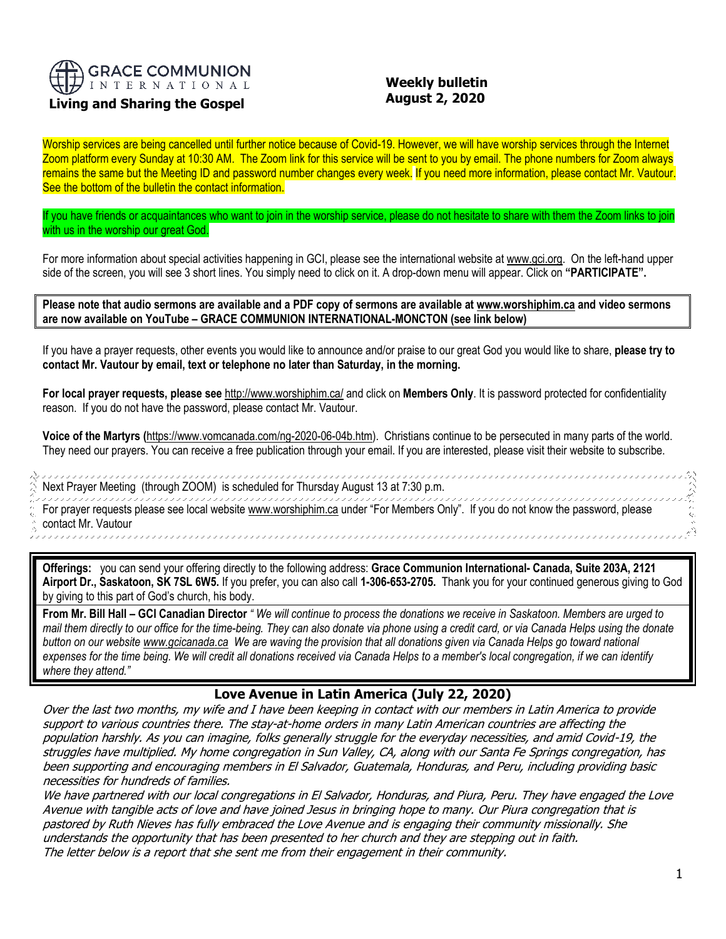

# **Living and Sharing the Gospel**

,,,,,,,,,,,

# **Weekly bulletin August 2, 2020**

Worship services are being cancelled until further notice because of Covid-19. However, we will have worship services through the Internet Zoom platform every Sunday at 10:30 AM. The Zoom link for this service will be sent to you by email. The phone numbers for Zoom always remains the same but the Meeting ID and password number changes every week. If you need more information, please contact Mr. Vautour. See the bottom of the bulletin the contact information.

If you have friends or acquaintances who want to join in the worship service, please do not hesitate to share with them the Zoom links to join with us in the worship our great God.

For more information about special activities happening in GCI, please see the international website a[t www.gci.org.](http://www.gci.org/) On the left-hand upper side of the screen, you will see 3 short lines. You simply need to click on it. A drop-down menu will appear. Click on **"PARTICIPATE".** 

**Please note that audio sermons are available and a PDF copy of sermons are available at [www.worshiphim.ca](http://www.worshiphim.ca/) and video sermons are now available on YouTube – GRACE COMMUNION INTERNATIONAL-MONCTON (see link below)**

If you have a prayer requests, other events you would like to announce and/or praise to our great God you would like to share, **please try to contact Mr. Vautour by email, text or telephone no later than Saturday, in the morning.**

**For local prayer requests, please see** <http://www.worshiphim.ca/> and click on **Members Only**. It is password protected for confidentiality reason. If you do not have the password, please contact Mr. Vautour.

**Voice of the Martyrs (**[https://www.vomcanada.com/ng-2020-06-04b.htm\)](https://www.vomcanada.com/ng-2020-06-04b.htm). Christians continue to be persecuted in many parts of the world. They need our prayers. You can receive a free publication through your email. If you are interested, please visit their website to subscribe.

,,,,,,,,,,,,,,,,,,,,,,,,,,,,,,,,,,,,,, ,,,,,,,,,,,,,,,,,,,,,,,,,,,, Next Prayer Meeting (through ZOOM) is scheduled for Thursday August 13 at 7:30 p.m. ,,,,,,,,,,,,,,,,,,,,,,,,,,,,,,, For prayer requests please see local website [www.worshiphim.ca](http://www.worshiphim.ca/) under "For Members Only". If you do not know the password, please contact Mr. Vautour

**Offerings:** you can send your offering directly to the following address: **Grace Communion International- Canada, Suite 203A, 2121 Airport Dr., Saskatoon, SK 7SL 6W5.** If you prefer, you can also call **1-306-653-2705.** Thank you for your continued generous giving to God by giving to this part of God's church, his body.

**From Mr. Bill Hall – GCI Canadian Director** *" We will continue to process the donations we receive in Saskatoon. Members are urged to mail them directly to our office for the time-being. They can also donate via phone using a credit card, or via Canada Helps using the donate button on our websit[e www.gcicanada.ca](https://eur03.safelinks.protection.outlook.com/?url=http%3A%2F%2Fwww.gcicanada.ca%2F&data=02%7C01%7C%7C9fd93e29c2b44509e5a008d7caa78fdb%7C84df9e7fe9f640afb435aaaaaaaaaaaa%7C1%7C0%7C637200693331983394&sdata=VAGy4Q%2BxbhHuYaeEiDz%2FQyicT%2FoiY4Ir9kc8w5yHRPs%3D&reserved=0) We are waving the provision that all donations given via Canada Helps go toward national expenses for the time being. We will credit all donations received via Canada Helps to a member's local congregation, if we can identify where they attend."*

## **Love Avenue in Latin America (July 22, 2020)**

Over the last two months, my wife and I have been keeping in contact with our members in Latin America to provide support to various countries there. The stay-at-home orders in many Latin American countries are affecting the population harshly. As you can imagine, folks generally struggle for the everyday necessities, and amid Covid-19, the struggles have multiplied. My home congregation in Sun Valley, CA, along with our Santa Fe Springs congregation, has been supporting and encouraging members in El Salvador, Guatemala, Honduras, and Peru, including providing basic necessities for hundreds of families.

We have partnered with our local congregations in El Salvador, Honduras, and Piura, Peru. They have engaged the Love Avenue with tangible acts of love and have joined Jesus in bringing hope to many. Our Piura congregation that is pastored by Ruth Nieves has fully embraced the Love Avenue and is engaging their community missionally. She understands the opportunity that has been presented to her church and they are stepping out in faith. The letter below is a report that she sent me from their engagement in their community.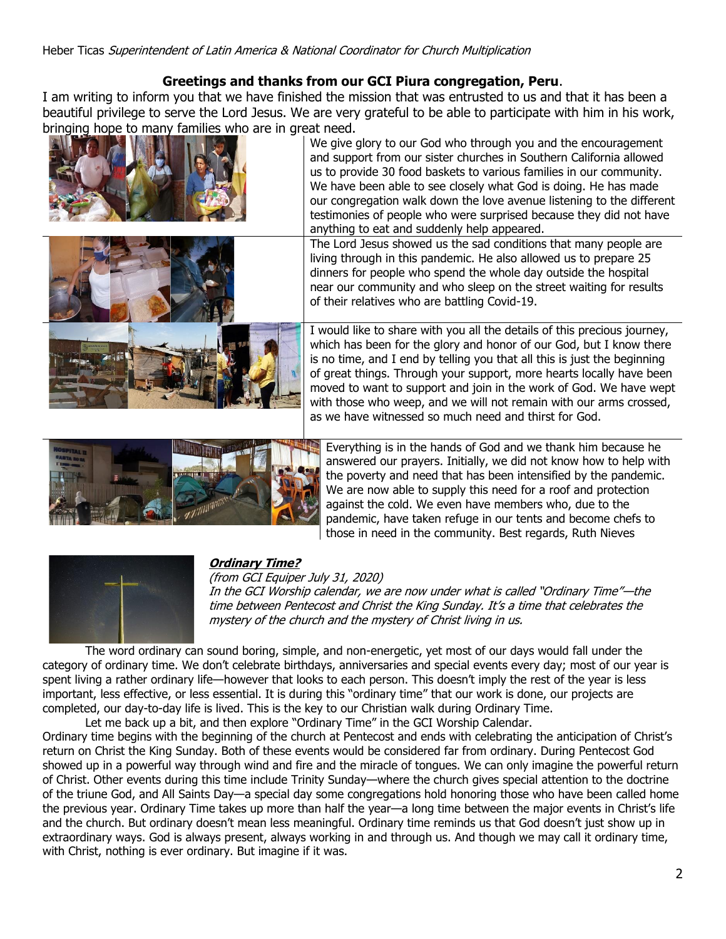# **Greetings and thanks from our GCI Piura congregation, Peru**.

I am writing to inform you that we have finished the mission that was entrusted to us and that it has been a beautiful privilege to serve the Lord Jesus. We are very grateful to be able to participate with him in his work, [bringing hope to many families who](https://update.gci.org/wp-content/uploads/2020/07/LatinAmericaLoveVenue1.jpg) are in great need.





We give glory to our God who through you and the encouragement and support from our sister churches in Southern California allowed us to provide 30 food baskets to various families in our community. We have been able to see closely what God is doing. He has made our congregation walk down the love avenue listening to the different testimonies of people who were surprised because they did not have anything to eat and suddenly help appeared.

The Lord Jesus showed us the sad conditions that many people are living through in this pandemic. He also allowed us to prepare 25 dinners for people who spend the whole day outside the hospital near our community and who sleep on the street waiting for results of their relatives who are battling Covid-19.

I would like to share with you all the details of this precious journey, which has been for the glory and honor of our God, but I know there is no time, and I end by telling you that all this is just the beginning of great things. Through your support, more hearts locally have been moved to want to support and join in the work of God. We have wept with those who weep, and we will not remain with our arms crossed, as we have witnessed so much need and thirst for God.



[Everything](https://update.gci.org/wp-content/uploads/2020/07/LatinAmericaLoveVenue4.jpg) is in the hands of God and we thank him because he answered our prayers. Initially, we did not know how to help with the poverty and need that has been intensified by the pandemic. We are now able to supply this need for a roof and protection against the cold. We even have members who, due to the pandemic, have taken refuge in our tents and become chefs to those in need in the community. Best regards, Ruth Nieves



# **[Ordinary Time?](https://nam12.safelinks.protection.outlook.com/?url=https%3A%2F%2Fgci.us18.list-manage.com%2Ftrack%2Fclick%3Fu%3Dbd816a331b0d56d8612fa9b6f%26id%3D3b91eec22d%26e%3D31350cca7e&data=02%7C01%7C%7C5743f70001c54cc7448608d83553df3f%7C84df9e7fe9f640afb435aaaaaaaaaaaa%7C1%7C0%7C637317981623863279&sdata=laJdhk4UVqaF1XlPuEKZvbeLCu5Ewa32KY8vMGj0wW0%3D&reserved=0)**

(from GCI Equiper July 31, 2020)

In the GCI Worship calendar, we are now under what is called "Ordinary Time"—the time between Pentecost and Christ the King Sunday. It's a time that celebrates the mystery of the church and the mystery of Christ living in us.

The word ordinary can sound boring, simple, and non-energetic, yet most of our days would fall under the category of ordinary time. We don't celebrate birthdays, anniversaries and special events every day; most of our year is spent living a rather ordinary life—however that looks to each person. This doesn't imply the rest of the year is less important, less effective, or less essential. It is during this "ordinary time" that our work is done, our projects are completed, our day-to-day life is lived. This is the key to our Christian walk during Ordinary Time.

Let me back up a bit, and then explore "Ordinary Time" in the GCI Worship Calendar. Ordinary time begins with the beginning of the church at Pentecost and ends with celebrating the anticipation of Christ's return on Christ the King Sunday. Both of these events would be considered far from ordinary. During Pentecost God showed up in a powerful way through wind and fire and the miracle of tongues. We can only imagine the powerful return of Christ. Other events during this time include Trinity Sunday—where the church gives special attention to the doctrine of the triune God, and All Saints Day—a special day some congregations hold honoring those who have been called home the previous year. Ordinary Time takes up more than half the year—a long time between the major events in Christ's life and the church. But ordinary doesn't mean less meaningful. Ordinary time reminds us that God doesn't just show up in extraordinary ways. God is always present, always working in and through us. And though we may call it ordinary time, with Christ, nothing is ever ordinary. But imagine if it was.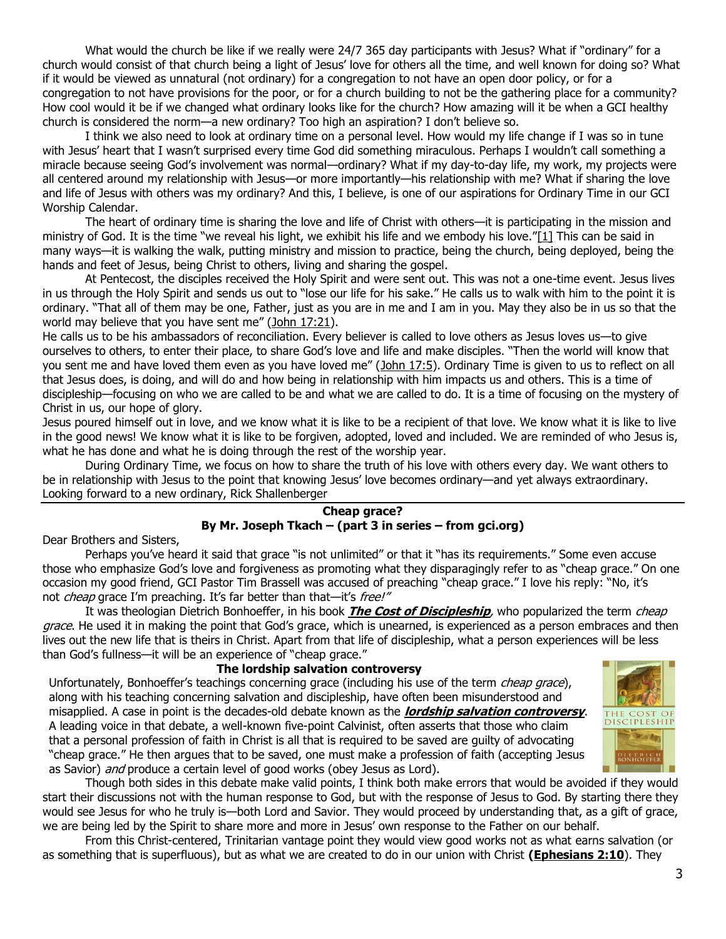What would the church be like if we really were 24/7 365 day participants with Jesus? What if "ordinary" for a church would consist of that church being a light of Jesus' love for others all the time, and well known for doing so? What if it would be viewed as unnatural (not ordinary) for a congregation to not have an open door policy, or for a congregation to not have provisions for the poor, or for a church building to not be the gathering place for a community? How cool would it be if we changed what ordinary looks like for the church? How amazing will it be when a GCI healthy church is considered the norm—a new ordinary? Too high an aspiration? I don't believe so.

I think we also need to look at ordinary time on a personal level. How would my life change if I was so in tune with Jesus' heart that I wasn't surprised every time God did something miraculous. Perhaps I wouldn't call something a miracle because seeing God's involvement was normal—ordinary? What if my day-to-day life, my work, my projects were all centered around my relationship with Jesus—or more importantly—his relationship with me? What if sharing the love and life of Jesus with others was my ordinary? And this, I believe, is one of our aspirations for Ordinary Time in our GCI Worship Calendar.

The heart of ordinary time is sharing the love and life of Christ with others—it is participating in the mission and ministry of God. It is the time "we reveal his light, we exhibit his life and we embody his love."[\[1\]](https://equipper.gci.org/2020/07/ordinary-time#_ftn1) This can be said in many ways—it is walking the walk, putting ministry and mission to practice, being the church, being deployed, being the hands and feet of Jesus, being Christ to others, living and sharing the gospel.

At Pentecost, the disciples received the Holy Spirit and were sent out. This was not a one-time event. Jesus lives in us through the Holy Spirit and sends us out to "lose our life for his sake." He calls us to walk with him to the point it is ordinary. "That all of them may be one, Father, just as you are in me and I am in you. May they also be in us so that the world may believe that you have sent me" ([John 17:21\)](https://biblia.com/bible/niv/John%2017.21).

He calls us to be his ambassadors of reconciliation. Every believer is called to love others as Jesus loves us—to give ourselves to others, to enter their place, to share God's love and life and make disciples. "Then the world will know that you sent me and have loved them even as you have loved me" ([John 17:5\)](https://biblia.com/bible/niv/John%2017.5). Ordinary Time is given to us to reflect on all that Jesus does, is doing, and will do and how being in relationship with him impacts us and others. This is a time of discipleship—focusing on who we are called to be and what we are called to do. It is a time of focusing on the mystery of Christ in us, our hope of glory.

Jesus poured himself out in love, and we know what it is like to be a recipient of that love. We know what it is like to live in the good news! We know what it is like to be forgiven, adopted, loved and included. We are reminded of who Jesus is, what he has done and what he is doing through the rest of the worship year.

During Ordinary Time, we focus on how to share the truth of his love with others every day. We want others to be in relationship with Jesus to the point that knowing Jesus' love becomes ordinary—and yet always extraordinary. Looking forward to a new ordinary, Rick Shallenberger

## **Cheap grace? By Mr. Joseph Tkach – (part 3 in series – from gci.org)**

Dear Brothers and Sisters,

Perhaps you've heard it said that grace "is not unlimited" or that it "has its requirements." Some even accuse those who emphasize God's love and forgiveness as promoting what they disparagingly refer to as "cheap grace." On one occasion my good friend, GCI Pastor Tim Brassell was accused of preaching "cheap grace." I love his reply: "No, it's not *cheap* grace I'm preaching. It's far better than that—it's free!"

It was theologian Dietrich Bonhoeffer, in his book **[The Cost of Discipleship](https://books.google.com/books?id=ANfH1fmvBKIC&printsec=frontcover#v=onepage&q&f=false)**, who popularized the term cheap grace. He used it in making the point that God's grace, which is unearned, is experienced as a person embraces and then lives out the new life that is theirs in Christ. Apart from that life of discipleship, what a person experiences will be less than God's fullness—it will be an experience of "cheap grace."

## **The lordship salvation controversy**

Unfortunately, Bonhoeffer's teachings concerning grace (including his use of the term *cheap grace*), along with his teaching concerning salvation and discipleship, have often been misunderstood and misapplied. A case in point is the decades-old debate known as the **[lordship salvation controversy](http://en.wikipedia.org/wiki/Lordship_salvation_controversy)**. A leading voice in that debate, a well-known five-point Calvinist, often asserts that those who claim that a personal profession of faith in Christ is all that is required to be saved are guilty of advocating "cheap grace." He then argues that to be saved, one must make a profession of faith (accepting Jesus as Savior) and produce a certain level of good works (obey Jesus as Lord).



Though both sides in this debate make valid points, I think both make errors that would be avoided if they would start their discussions not with the human response to God, but with the response of Jesus to God. By starting there they would see Jesus for who he truly is—both Lord and Savior. They would proceed by understanding that, as a gift of grace, we are being led by the Spirit to share more and more in Jesus' own response to the Father on our behalf.

From this Christ-centered, Trinitarian vantage point they would view good works not as what earns salvation (or as something that is superfluous), but as what we are created to do in our union with Christ **[\(Ephesians 2:10](https://biblia.com/bible/niv/Eph%202.10)**). They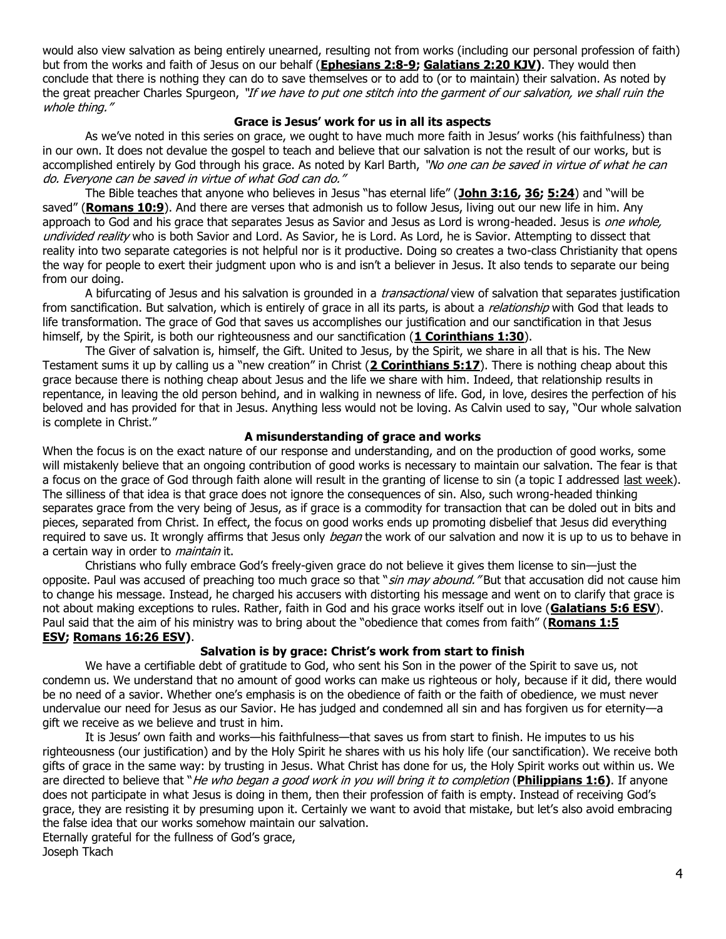would also view salvation as being entirely unearned, resulting not from works (including our personal profession of faith) but from the works and faith of Jesus on our behalf (**[Ephesians 2:8-9;](https://biblia.com/bible/niv/Eph%202.8-9) [Galatians 2:20 KJV\)](https://biblia.com/bible/kjv1900/Gal%202.20)**. They would then conclude that there is nothing they can do to save themselves or to add to (or to maintain) their salvation. As noted by the great preacher Charles Spurgeon, "If we have to put one stitch into the garment of our salvation, we shall ruin the whole thing."

#### **Grace is Jesus' work for us in all its aspects**

As we've noted in this series on grace, we ought to have much more faith in Jesus' works (his faithfulness) than in our own. It does not devalue the gospel to teach and believe that our salvation is not the result of our works, but is accomplished entirely by God through his grace. As noted by Karl Barth, "No one can be saved in virtue of what he can do. Everyone can be saved in virtue of what God can do."

The Bible teaches that anyone who believes in Jesus "has eternal life" (**[John 3:16,](https://biblia.com/bible/niv/John%203.16) [36;](https://biblia.com/bible/niv/John%203.36) [5:24](https://biblia.com/bible/niv/John%205.24)**) and "will be saved" (**[Romans 10:9](https://biblia.com/bible/niv/Rom%2010.9)**). And there are verses that admonish us to follow Jesus, living out our new life in him. Any approach to God and his grace that separates Jesus as Savior and Jesus as Lord is wrong-headed. Jesus is one whole, undivided reality who is both Savior and Lord. As Savior, he is Lord. As Lord, he is Savior. Attempting to dissect that reality into two separate categories is not helpful nor is it productive. Doing so creates a two-class Christianity that opens the way for people to exert their judgment upon who is and isn't a believer in Jesus. It also tends to separate our being from our doing.

A bifurcating of Jesus and his salvation is grounded in a *transactional* view of salvation that separates justification from sanctification. But salvation, which is entirely of grace in all its parts, is about a *relationship* with God that leads to life transformation. The grace of God that saves us accomplishes our justification and our sanctification in that Jesus himself, by the Spirit, is both our righteousness and our sanctification (**[1 Corinthians 1:30](https://biblia.com/bible/niv/1%20Cor%201.30)**).

The Giver of salvation is, himself, the Gift. United to Jesus, by the Spirit, we share in all that is his. The New Testament sums it up by calling us a "new creation" in Christ (**[2 Corinthians 5:17](https://biblia.com/bible/niv/2%20Cor%205.17)**). There is nothing cheap about this grace because there is nothing cheap about Jesus and the life we share with him. Indeed, that relationship results in repentance, in leaving the old person behind, and in walking in newness of life. God, in love, desires the perfection of his beloved and has provided for that in Jesus. Anything less would not be loving. As Calvin used to say, "Our whole salvation is complete in Christ."

## **A misunderstanding of grace and works**

When the focus is on the exact nature of our response and understanding, and on the production of good works, some will mistakenly believe that an ongoing contribution of good works is necessary to maintain our salvation. The fear is that a focus on the grace of God through faith alone will result in the granting of license to sin (a topic I addressed [last week\)](https://update.gci.org/2016/02/gods-grace-too-good-to-be-true/). The silliness of that idea is that grace does not ignore the consequences of sin. Also, such wrong-headed thinking separates grace from the very being of Jesus, as if grace is a commodity for transaction that can be doled out in bits and pieces, separated from Christ. In effect, the focus on good works ends up promoting disbelief that Jesus did everything required to save us. It wrongly affirms that Jesus only *began* the work of our salvation and now it is up to us to behave in a certain way in order to *maintain* it.

Christians who fully embrace God's freely-given grace do not believe it gives them license to sin—just the opposite. Paul was accused of preaching too much grace so that "sin may abound." But that accusation did not cause him to change his message. Instead, he charged his accusers with distorting his message and went on to clarify that grace is not about making exceptions to rules. Rather, faith in God and his grace works itself out in love (**[Galatians 5:6 ESV](https://biblia.com/bible/esv/Gal%205.6)**). Paul said that the aim of his ministry was to bring about the "obedience that comes from faith" (**[Romans 1:5](https://biblia.com/bible/esv/Rom%201.5)  [ESV;](https://biblia.com/bible/esv/Rom%201.5) [Romans 16:26 ESV\)](https://biblia.com/bible/esv/Rom%2016.26)**.

## **Salvation is by grace: Christ's work from start to finish**

We have a certifiable debt of gratitude to God, who sent his Son in the power of the Spirit to save us, not condemn us. We understand that no amount of good works can make us righteous or holy, because if it did, there would be no need of a savior. Whether one's emphasis is on the obedience of faith or the faith of obedience, we must never undervalue our need for Jesus as our Savior. He has judged and condemned all sin and has forgiven us for eternity—a gift we receive as we believe and trust in him.

It is Jesus' own faith and works—his faithfulness—that saves us from start to finish. He imputes to us his righteousness (our justification) and by the Holy Spirit he shares with us his holy life (our sanctification). We receive both gifts of grace in the same way: by trusting in Jesus. What Christ has done for us, the Holy Spirit works out within us. We are directed to believe that "He who began a good work in you will bring it to completion (**[Philippians 1:6\)](https://biblia.com/bible/niv/Phil%201.6)**. If anyone does not participate in what Jesus is doing in them, then their profession of faith is empty. Instead of receiving God's grace, they are resisting it by presuming upon it. Certainly we want to avoid that mistake, but let's also avoid embracing the false idea that our works somehow maintain our salvation.

Eternally grateful for the fullness of God's grace, Joseph Tkach